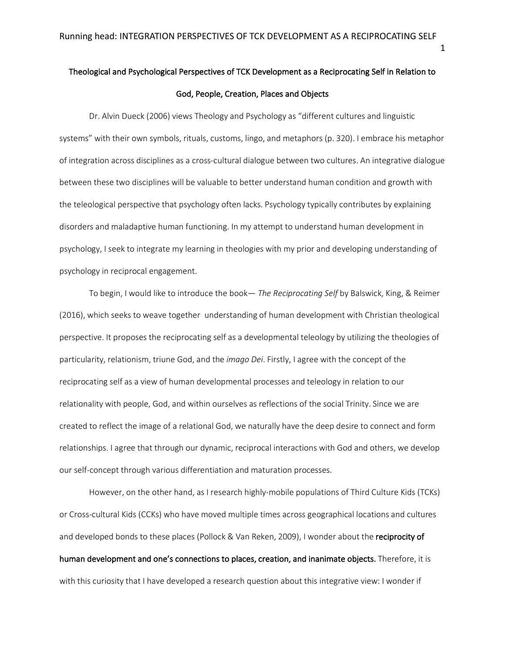# Theological and Psychological Perspectives of TCK Development as a Reciprocating Self in Relation to God, People, Creation, Places and Objects

Dr. Alvin Dueck (2006) views Theology and Psychology as "different cultures and linguistic systems" with their own symbols, rituals, customs, lingo, and metaphors (p. 320). I embrace his metaphor of integration across disciplines as a cross-cultural dialogue between two cultures. An integrative dialogue between these two disciplines will be valuable to better understand human condition and growth with the teleological perspective that psychology often lacks. Psychology typically contributes by explaining disorders and maladaptive human functioning. In my attempt to understand human development in psychology, I seek to integrate my learning in theologies with my prior and developing understanding of psychology in reciprocal engagement.

To begin, I would like to introduce the book— *The Reciprocating Self* by Balswick, King, & Reimer (2016), which seeks to weave together understanding of human development with Christian theological perspective. It proposes the reciprocating self as a developmental teleology by utilizing the theologies of particularity, relationism, triune God, and the *imago Dei*. Firstly, I agree with the concept of the reciprocating self as a view of human developmental processes and teleology in relation to our relationality with people, God, and within ourselves as reflections of the social Trinity. Since we are created to reflect the image of a relational God, we naturally have the deep desire to connect and form relationships. I agree that through our dynamic, reciprocal interactions with God and others, we develop our self-concept through various differentiation and maturation processes.

However, on the other hand, as I research highly-mobile populations of Third Culture Kids (TCKs) or Cross-cultural Kids (CCKs) who have moved multiple times across geographical locations and cultures and developed bonds to these places (Pollock & Van Reken, 2009), I wonder about the reciprocity of human development and one's connections to places, creation, and inanimate objects. Therefore, it is with this curiosity that I have developed a research question about this integrative view: I wonder if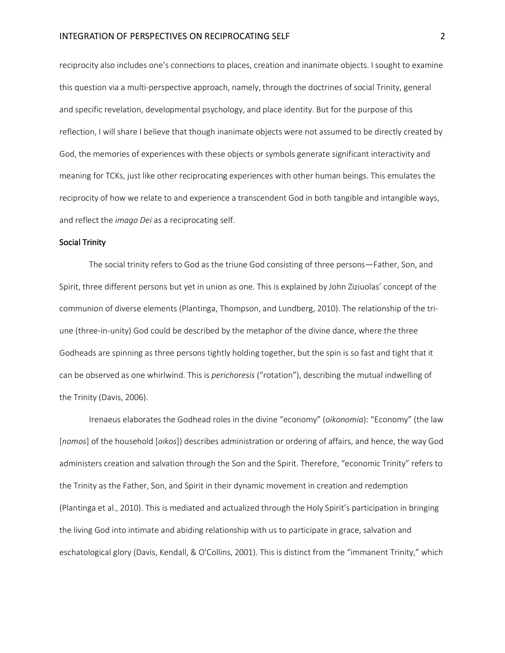reciprocity also includes one's connections to places, creation and inanimate objects. I sought to examine this question via a multi-perspective approach, namely, through the doctrines of social Trinity, general and specific revelation, developmental psychology, and place identity. But for the purpose of this reflection, I will share I believe that though inanimate objects were not assumed to be directly created by God, the memories of experiences with these objects or symbols generate significant interactivity and meaning for TCKs, just like other reciprocating experiences with other human beings. This emulates the reciprocity of how we relate to and experience a transcendent God in both tangible and intangible ways, and reflect the *imago Dei* as a reciprocating self.

#### Social Trinity

The social trinity refers to God as the triune God consisting of three persons—Father, Son, and Spirit, three different persons but yet in union as one. This is explained by John Ziziuolas' concept of the communion of diverse elements (Plantinga, Thompson, and Lundberg, 2010). The relationship of the triune (three-in-unity) God could be described by the metaphor of the divine dance, where the three Godheads are spinning as three persons tightly holding together, but the spin is so fast and tight that it can be observed as one whirlwind. This is *perichoresis* ("rotation"), describing the mutual indwelling of the Trinity (Davis, 2006).

Irenaeus elaborates the Godhead roles in the divine "economy" (*oikonomia*): "Economy" (the law [*nomos*] of the household [*oikos*]) describes administration or ordering of affairs, and hence, the way God administers creation and salvation through the Son and the Spirit. Therefore, "economic Trinity" refers to the Trinity as the Father, Son, and Spirit in their dynamic movement in creation and redemption (Plantinga et al., 2010). This is mediated and actualized through the Holy Spirit's participation in bringing the living God into intimate and abiding relationship with us to participate in grace, salvation and eschatological glory (Davis, Kendall, & O'Collins, 2001). This is distinct from the "immanent Trinity," which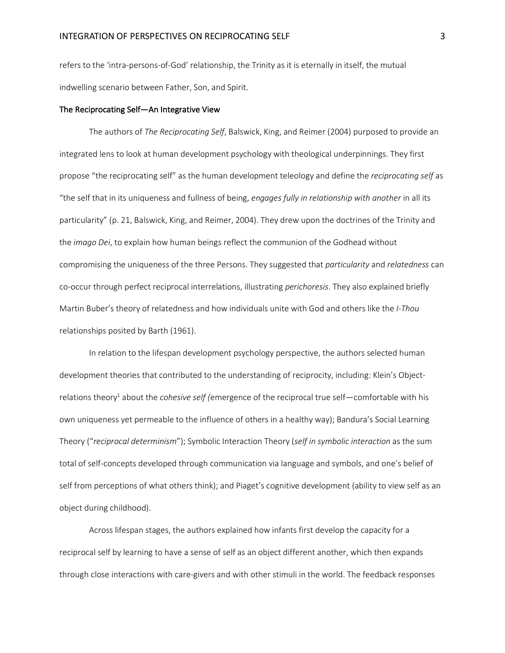refers to the 'intra-persons-of-God' relationship, the Trinity as it is eternally in itself, the mutual indwelling scenario between Father, Son, and Spirit.

## The Reciprocating Self—An Integrative View

The authors of *The Reciprocating Self*, Balswick, King, and Reimer (2004) purposed to provide an integrated lens to look at human development psychology with theological underpinnings. They first propose "the reciprocating self" as the human development teleology and define the *reciprocating self* as "the self that in its uniqueness and fullness of being, *engages fully in relationship with another* in all its particularity" (p. 21, Balswick, King, and Reimer, 2004). They drew upon the doctrines of the Trinity and the *imago Dei*, to explain how human beings reflect the communion of the Godhead without compromising the uniqueness of the three Persons. They suggested that *particularity* and *relatedness* can co-occur through perfect reciprocal interrelations, illustrating *perichoresis*. They also explained briefly Martin Buber's theory of relatedness and how individuals unite with God and others like the *I-Thou* relationships posited by Barth (1961).

In relation to the lifespan development psychology perspective, the authors selected human development theories that contributed to the understanding of reciprocity, including: Klein's Objectrelations theory1 about the *cohesive self (*emergence of the reciprocal true self—comfortable with his own uniqueness yet permeable to the influence of others in a healthy way); Bandura's Social Learning Theory ("*reciprocal determinism*"); Symbolic Interaction Theory (*self in symbolic interaction* as the sum total of self-concepts developed through communication via language and symbols, and one's belief of self from perceptions of what others think); and Piaget's cognitive development (ability to view self as an object during childhood).

Across lifespan stages, the authors explained how infants first develop the capacity for a reciprocal self by learning to have a sense of self as an object different another, which then expands through close interactions with care-givers and with other stimuli in the world. The feedback responses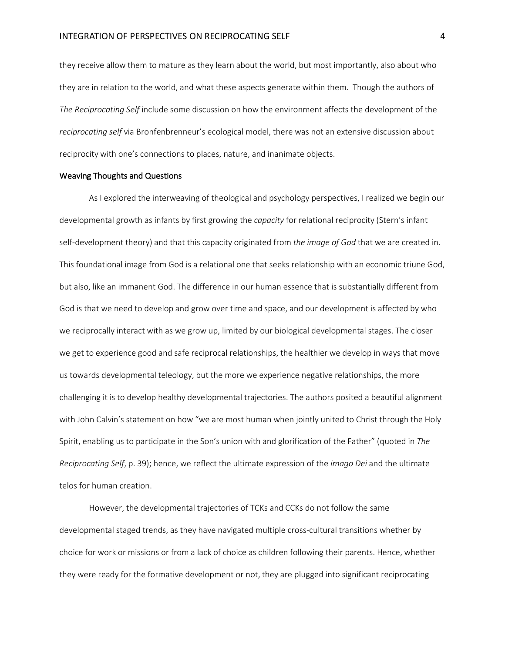they receive allow them to mature as they learn about the world, but most importantly, also about who they are in relation to the world, and what these aspects generate within them. Though the authors of *The Reciprocating Self* include some discussion on how the environment affects the development of the *reciprocating self* via Bronfenbrenneur's ecological model, there was not an extensive discussion about reciprocity with one's connections to places, nature, and inanimate objects.

#### Weaving Thoughts and Questions

As I explored the interweaving of theological and psychology perspectives, I realized we begin our developmental growth as infants by first growing the *capacity* for relational reciprocity (Stern's infant self-development theory) and that this capacity originated from *the image of God* that we are created in. This foundational image from God is a relational one that seeks relationship with an economic triune God, but also, like an immanent God. The difference in our human essence that is substantially different from God is that we need to develop and grow over time and space, and our development is affected by who we reciprocally interact with as we grow up, limited by our biological developmental stages. The closer we get to experience good and safe reciprocal relationships, the healthier we develop in ways that move us towards developmental teleology, but the more we experience negative relationships, the more challenging it is to develop healthy developmental trajectories. The authors posited a beautiful alignment with John Calvin's statement on how "we are most human when jointly united to Christ through the Holy Spirit, enabling us to participate in the Son's union with and glorification of the Father" (quoted in *The Reciprocating Self*, p. 39); hence, we reflect the ultimate expression of the *imago Dei* and the ultimate telos for human creation.

However, the developmental trajectories of TCKs and CCKs do not follow the same developmental staged trends, as they have navigated multiple cross-cultural transitions whether by choice for work or missions or from a lack of choice as children following their parents. Hence, whether they were ready for the formative development or not, they are plugged into significant reciprocating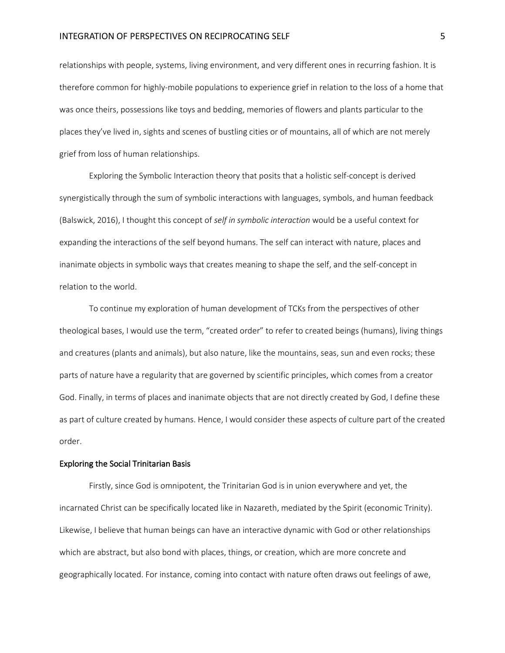# INTEGRATION OF PERSPECTIVES ON RECIPROCATING SELF **5**

relationships with people, systems, living environment, and very different ones in recurring fashion. It is therefore common for highly-mobile populations to experience grief in relation to the loss of a home that was once theirs, possessions like toys and bedding, memories of flowers and plants particular to the places they've lived in, sights and scenes of bustling cities or of mountains, all of which are not merely grief from loss of human relationships.

Exploring the Symbolic Interaction theory that posits that a holistic self-concept is derived synergistically through the sum of symbolic interactions with languages, symbols, and human feedback (Balswick, 2016), I thought this concept of *self in symbolic interaction* would be a useful context for expanding the interactions of the self beyond humans. The self can interact with nature, places and inanimate objects in symbolic ways that creates meaning to shape the self, and the self-concept in relation to the world.

To continue my exploration of human development of TCKs from the perspectives of other theological bases, I would use the term, "created order" to refer to created beings (humans), living things and creatures (plants and animals), but also nature, like the mountains, seas, sun and even rocks; these parts of nature have a regularity that are governed by scientific principles, which comes from a creator God. Finally, in terms of places and inanimate objects that are not directly created by God, I define these as part of culture created by humans. Hence, I would consider these aspects of culture part of the created order.

#### Exploring the Social Trinitarian Basis

Firstly, since God is omnipotent, the Trinitarian God is in union everywhere and yet, the incarnated Christ can be specifically located like in Nazareth, mediated by the Spirit (economic Trinity). Likewise, I believe that human beings can have an interactive dynamic with God or other relationships which are abstract, but also bond with places, things, or creation, which are more concrete and geographically located. For instance, coming into contact with nature often draws out feelings of awe,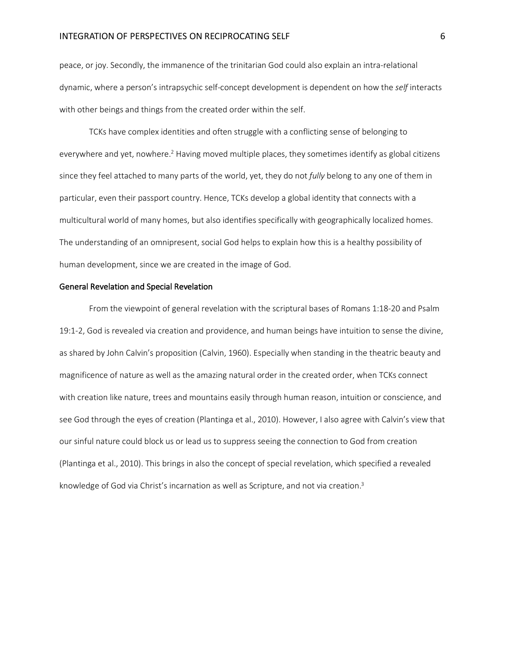# INTEGRATION OF PERSPECTIVES ON RECIPROCATING SELF 6

peace, or joy. Secondly, the immanence of the trinitarian God could also explain an intra-relational dynamic, where a person's intrapsychic self-concept development is dependent on how the *self* interacts with other beings and things from the created order within the self.

TCKs have complex identities and often struggle with a conflicting sense of belonging to everywhere and yet, nowhere.<sup>2</sup> Having moved multiple places, they sometimes identify as global citizens since they feel attached to many parts of the world, yet, they do not *fully* belong to any one of them in particular, even their passport country. Hence, TCKs develop a global identity that connects with a multicultural world of many homes, but also identifies specifically with geographically localized homes. The understanding of an omnipresent, social God helps to explain how this is a healthy possibility of human development, since we are created in the image of God.

## General Revelation and Special Revelation

From the viewpoint of general revelation with the scriptural bases of Romans 1:18-20 and Psalm 19:1-2, God is revealed via creation and providence, and human beings have intuition to sense the divine, as shared by John Calvin's proposition (Calvin, 1960). Especially when standing in the theatric beauty and magnificence of nature as well as the amazing natural order in the created order, when TCKs connect with creation like nature, trees and mountains easily through human reason, intuition or conscience, and see God through the eyes of creation (Plantinga et al., 2010). However, I also agree with Calvin's view that our sinful nature could block us or lead us to suppress seeing the connection to God from creation (Plantinga et al., 2010). This brings in also the concept of special revelation, which specified a revealed knowledge of God via Christ's incarnation as well as Scripture, and not via creation.<sup>3</sup>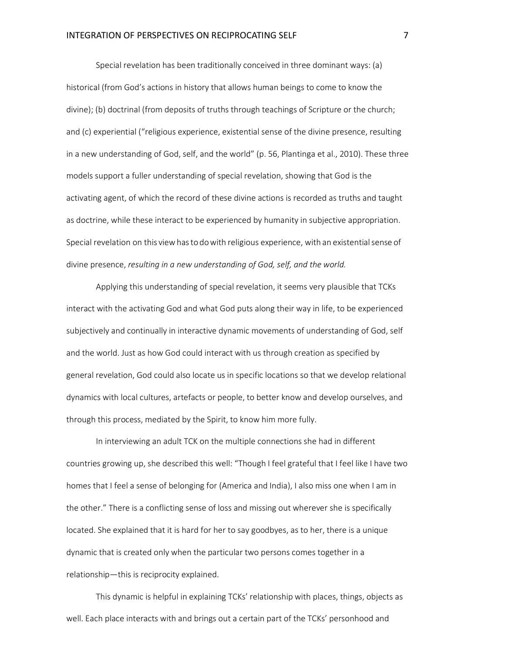Special revelation has been traditionally conceived in three dominant ways: (a) historical (from God's actions in history that allows human beings to come to know the divine); (b) doctrinal (from deposits of truths through teachings of Scripture or the church; and (c) experiential ("religious experience, existential sense of the divine presence, resulting in a new understanding of God, self, and the world" (p. 56, Plantinga et al., 2010). These three models support a fuller understanding of special revelation, showing that God is the activating agent, of which the record of these divine actions is recorded as truths and taught as doctrine, while these interact to be experienced by humanity in subjective appropriation. Special revelation on this viewhasto dowith religious experience, with an existentialsense of divine presence, *resulting in a new understanding of God, self, and the world.* 

Applying this understanding of special revelation, it seems very plausible that TCKs interact with the activating God and what God puts along their way in life, to be experienced subjectively and continually in interactive dynamic movements of understanding of God, self and the world. Just as how God could interact with us through creation as specified by general revelation, God could also locate us in specific locations so that we develop relational dynamics with local cultures, artefacts or people, to better know and develop ourselves, and through this process, mediated by the Spirit, to know him more fully.

In interviewing an adult TCK on the multiple connections she had in different countries growing up, she described this well: "Though I feel grateful that I feel like I have two homes that I feel a sense of belonging for (America and India), I also miss one when I am in the other." There is a conflicting sense of loss and missing out wherever she is specifically located. She explained that it is hard for her to say goodbyes, as to her, there is a unique dynamic that is created only when the particular two persons comes together in a relationship—this is reciprocity explained.

This dynamic is helpful in explaining TCKs' relationship with places, things, objects as well. Each place interacts with and brings out a certain part of the TCKs' personhood and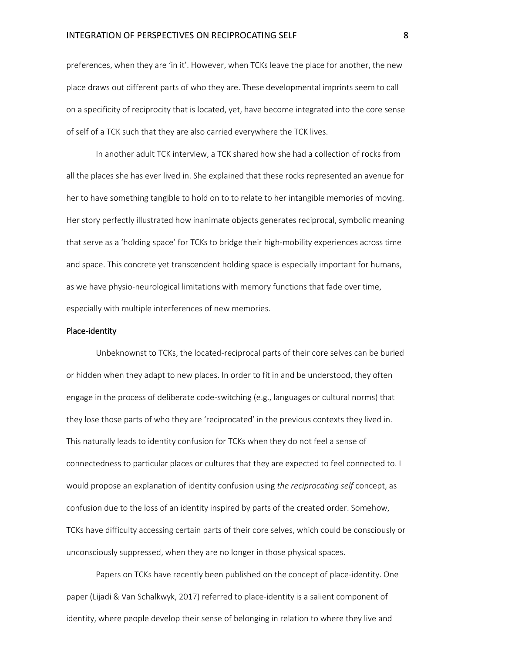preferences, when they are 'in it'. However, when TCKs leave the place for another, the new place draws out different parts of who they are. These developmental imprints seem to call on a specificity of reciprocity that is located, yet, have become integrated into the core sense of self of a TCK such that they are also carried everywhere the TCK lives.

In another adult TCK interview, a TCK shared how she had a collection of rocks from all the places she has ever lived in. She explained that these rocks represented an avenue for her to have something tangible to hold on to to relate to her intangible memories of moving. Her story perfectly illustrated how inanimate objects generates reciprocal, symbolic meaning that serve as a 'holding space' for TCKs to bridge their high-mobility experiences across time and space. This concrete yet transcendent holding space is especially important for humans, as we have physio-neurological limitations with memory functions that fade over time, especially with multiple interferences of new memories.

#### Place-identity

Unbeknownst to TCKs, the located-reciprocal parts of their core selves can be buried or hidden when they adapt to new places. In order to fit in and be understood, they often engage in the process of deliberate code-switching (e.g., languages or cultural norms) that they lose those parts of who they are 'reciprocated' in the previous contexts they lived in. This naturally leads to identity confusion for TCKs when they do not feel a sense of connectedness to particular places or cultures that they are expected to feel connected to. I would propose an explanation of identity confusion using *the reciprocating self* concept, as confusion due to the loss of an identity inspired by parts of the created order. Somehow, TCKs have difficulty accessing certain parts of their core selves, which could be consciously or unconsciously suppressed, when they are no longer in those physical spaces.

Papers on TCKs have recently been published on the concept of place-identity. One paper (Lijadi & Van Schalkwyk, 2017) referred to place-identity is a salient component of identity, where people develop their sense of belonging in relation to where they live and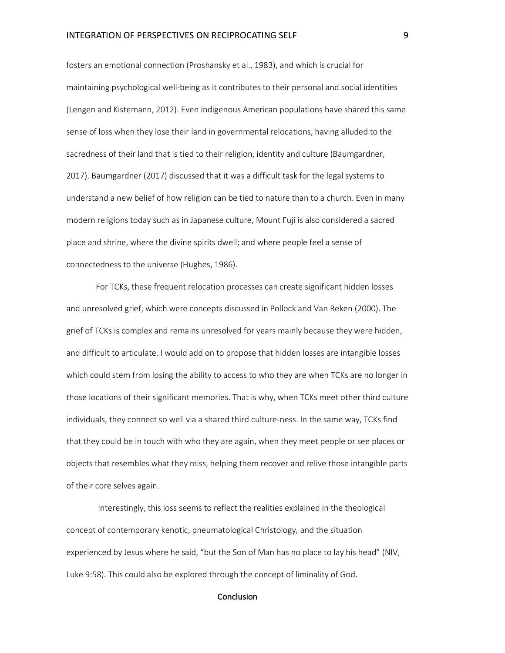fosters an emotional connection (Proshansky et al., 1983), and which is crucial for maintaining psychological well-being as it contributes to their personal and social identities (Lengen and Kistemann, 2012). Even indigenous American populations have shared this same sense of loss when they lose their land in governmental relocations, having alluded to the sacredness of their land that is tied to their religion, identity and culture (Baumgardner, 2017). Baumgardner (2017) discussed that it was a difficult task for the legal systems to understand a new belief of how religion can be tied to nature than to a church. Even in many modern religions today such as in Japanese culture, Mount Fuji is also considered a sacred place and shrine, where the divine spirits dwell; and where people feel a sense of connectedness to the universe (Hughes, 1986).

For TCKs, these frequent relocation processes can create significant hidden losses and unresolved grief, which were concepts discussed in Pollock and Van Reken (2000). The grief of TCKs is complex and remains unresolved for years mainly because they were hidden, and difficult to articulate. I would add on to propose that hidden losses are intangible losses which could stem from losing the ability to access to who they are when TCKs are no longer in those locations of their significant memories. That is why, when TCKs meet other third culture individuals, they connect so well via a shared third culture-ness. In the same way, TCKs find that they could be in touch with who they are again, when they meet people or see places or objects that resembles what they miss, helping them recover and relive those intangible parts of their core selves again.

Interestingly, this loss seems to reflect the realities explained in the theological concept of contemporary kenotic, pneumatological Christology*,* and the situation experienced by Jesus where he said, "but the Son of Man has no place to lay his head" (NIV, Luke 9:58)*.* This could also be explored through the concept of liminality of God.

#### **Conclusion**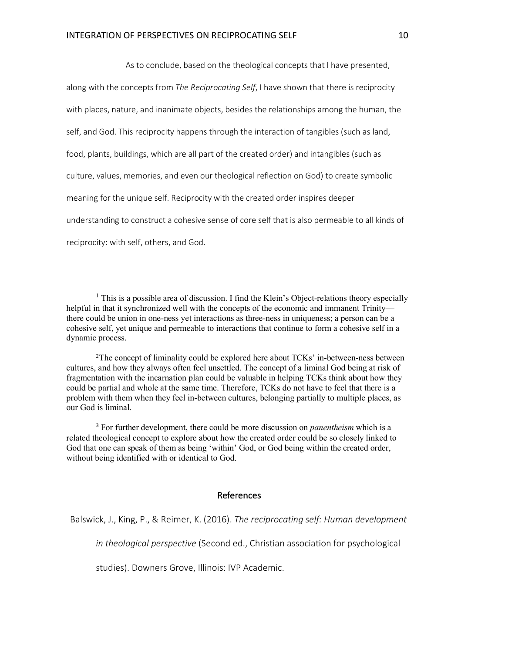$\overline{a}$ 

As to conclude, based on the theological concepts that I have presented,

along with the concepts from *The Reciprocating Self*, I have shown that there is reciprocity with places, nature, and inanimate objects, besides the relationships among the human, the self, and God. This reciprocity happens through the interaction of tangibles (such as land, food, plants, buildings, which are all part of the created order) and intangibles (such as culture, values, memories, and even our theological reflection on God) to create symbolic meaning for the unique self. Reciprocity with the created order inspires deeper understanding to construct a cohesive sense of core self that is also permeable to all kinds of reciprocity: with self, others, and God.

2The concept of liminality could be explored here about TCKs' in-between-ness between cultures, and how they always often feel unsettled. The concept of a liminal God being at risk of fragmentation with the incarnation plan could be valuable in helping TCKs think about how they could be partial and whole at the same time. Therefore, TCKs do not have to feel that there is a problem with them when they feel in-between cultures, belonging partially to multiple places, as our God is liminal.

<sup>3</sup> For further development, there could be more discussion on *panentheism* which is a related theological concept to explore about how the created order could be so closely linked to God that one can speak of them as being 'within' God, or God being within the created order, without being identified with or identical to God.

# References

*in theological perspective* (Second ed., Christian association for psychological

studies). Downers Grove, Illinois: IVP Academic.

<sup>&</sup>lt;sup>1</sup> This is a possible area of discussion. I find the Klein's Object-relations theory especially helpful in that it synchronized well with the concepts of the economic and immanent Trinity there could be union in one-ness yet interactions as three-ness in uniqueness; a person can be a cohesive self, yet unique and permeable to interactions that continue to form a cohesive self in a dynamic process.

Balswick, J., King, P., & Reimer, K. (2016). *The reciprocating self: Human development*